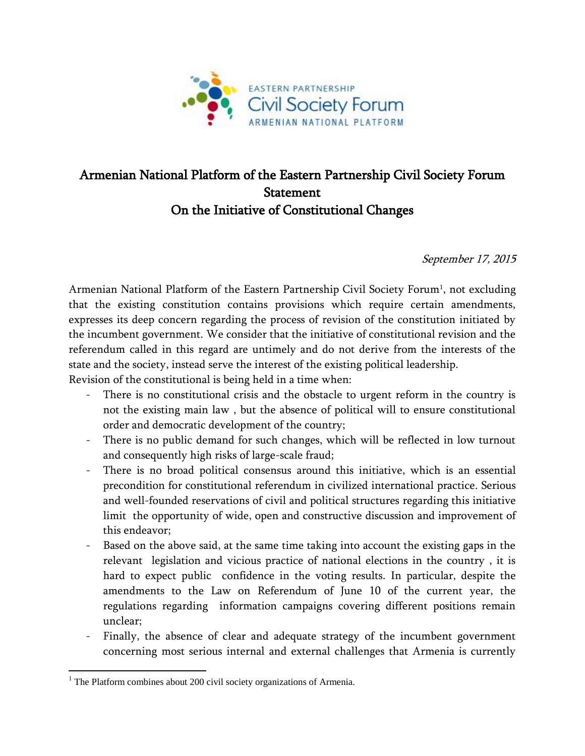

## Armenian National Platform of the Eastern Partnership Civil Society Forum Statement On the Initiative of Constitutional Changes

September 17, 2015

Armenian National Platform of the Eastern Partnership Civil Society Forum<sup>1</sup>, not excluding that the existing constitution contains provisions which require certain amendments, expresses its deep concern regarding the process of revision of the constitution initiated by the incumbent government. We consider that the initiative of constitutional revision and the referendum called in this regard are untimely and do not derive from the interests of the state and the society, instead serve the interest of the existing political leadership.

Revision of the constitutional is being held in a time when:

- There is no constitutional crisis and the obstacle to urgent reform in the country is not the existing main law , but the absence of political will to ensure constitutional order and democratic development of the country;
- There is no public demand for such changes, which will be reflected in low turnout and consequently high risks of large-scale fraud;
- There is no broad political consensus around this initiative, which is an essential precondition for constitutional referendum in civilized international practice. Serious and well-founded reservations of civil and political structures regarding this initiative limit the opportunity of wide, open and constructive discussion and improvement of this endeavor;
- Based on the above said, at the same time taking into account the existing gaps in the relevant legislation and vicious practice of national elections in the country , it is hard to expect public confidence in the voting results. In particular, despite the amendments to the Law on Referendum of June 10 of the current year, the regulations regarding information campaigns covering different positions remain unclear;
- Finally, the absence of clear and adequate strategy of the incumbent government concerning most serious internal and external challenges that Armenia is currently

 $\overline{a}$ 

 $1$  The Platform combines about 200 civil society organizations of Armenia.